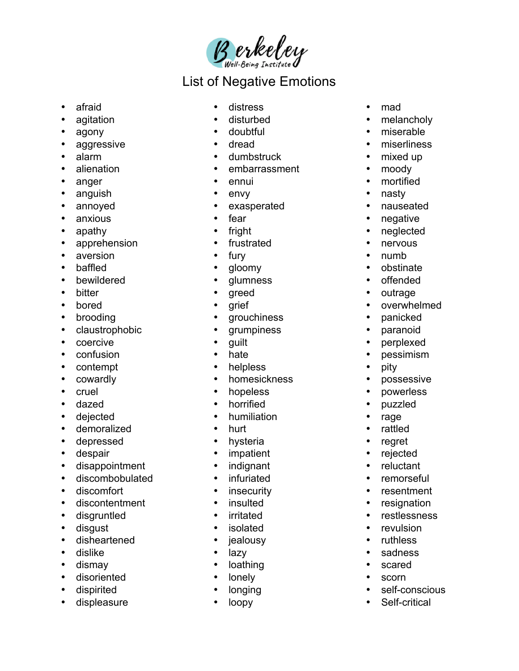Berkeley

## List of Negative Emotions

- afraid
- agitation
- agony
- aggressive
- alarm
- alienation
- anger
- anguish
- annoyed
- anxious
- apathy
- apprehension
- aversion
- baffled
- bewildered
- bitter
- bored
- brooding
- claustrophobic
- coercive
- confusion
- contempt
- cowardly
- cruel
- dazed
- dejected
- demoralized
- depressed
- despair
- disappointment
- discombobulated
- discomfort
- discontentment
- disgruntled
- disgust
- disheartened
- dislike
- dismay
- disoriented
- dispirited
- displeasure
- distress
- disturbed
- doubtful
- dread
- dumbstruck
- embarrassment
- ennui
- envy
- exasperated
- fear
- fright
- frustrated
- fury
- gloomy
- glumness
- greed
- grief
- grouchiness
- grumpiness
- guilt
- hate
- helpless
- homesickness
- hopeless
- horrified
- humiliation
- hurt
- hysteria
- impatient
- indignant
- infuriated
- insecurity
- insulted
- irritated
- isolated
- jealousy
- lazy
- loathing
- lonely
- longing
- loopy
- mad
- melancholy
- miserable
- miserliness
- mixed up
- moody
- mortified
- nasty
- nauseated
- negative
- neglected
- nervous
- numb
- obstinate
- offended
- outrage

• pity

• possessive • powerless • puzzled • rage • rattled • regret • rejected • reluctant • remorseful • resentment • resignation • restlessness • revulsion • ruthless • sadness • scared • scorn

• self-conscious • Self-critical

• overwhelmed • panicked • paranoid • perplexed • pessimism